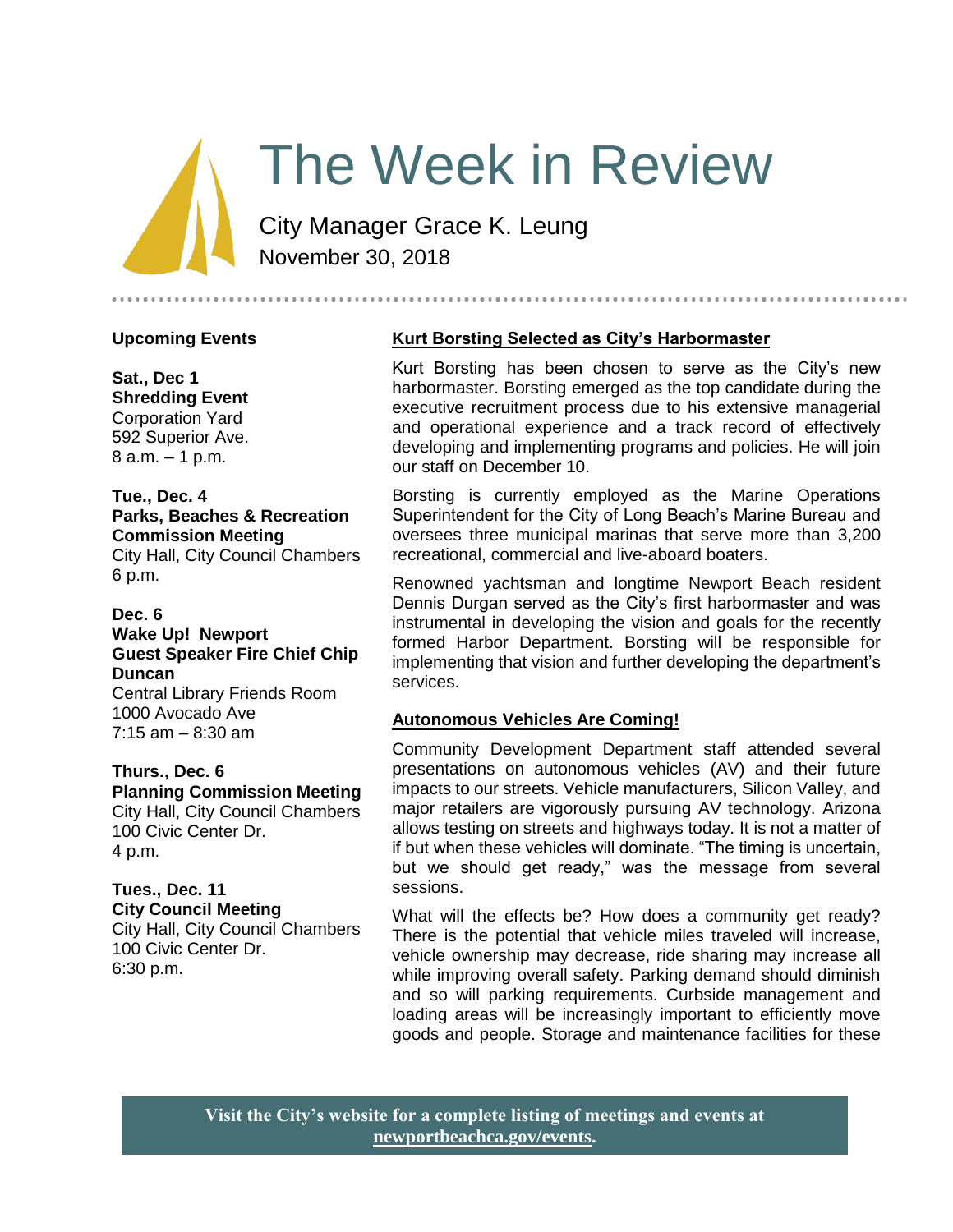# The Week in Review

City Manager Grace K. Leung November 30, 2018

#### **Upcoming Events**

**Sat., Dec 1 Shredding Event** Corporation Yard 592 Superior Ave. 8 a.m. – 1 p.m.

# **Tue., Dec. 4 Parks, Beaches & Recreation Commission Meeting** City Hall, City Council Chambers

6 p.m.

# **Dec. 6**

#### **Wake Up! Newport Guest Speaker Fire Chief Chip Duncan**

Central Library Friends Room 1000 Avocado Ave  $7:15$  am  $-8:30$  am

#### **Thurs., Dec. 6**

**Planning Commission Meeting** City Hall, City Council Chambers 100 Civic Center Dr. 4 p.m.

#### **Tues., Dec. 11 City Council Meeting**

City Hall, City Council Chambers 100 Civic Center Dr. 6:30 p.m.

# **Kurt Borsting Selected as City's Harbormaster**

Kurt Borsting has been chosen to serve as the City's new harbormaster. Borsting emerged as the top candidate during the executive recruitment process due to his extensive managerial and operational experience and a track record of effectively developing and implementing programs and policies. He will join our staff on December 10.

Borsting is currently employed as the Marine Operations Superintendent for the City of Long Beach's Marine Bureau and oversees three municipal marinas that serve more than 3,200 recreational, commercial and live-aboard boaters.

Renowned yachtsman and longtime Newport Beach resident Dennis Durgan served as the City's first harbormaster and was instrumental in developing the vision and goals for the recently formed Harbor Department. Borsting will be responsible for implementing that vision and further developing the department's services.

# **Autonomous Vehicles Are Coming!**

Community Development Department staff attended several presentations on autonomous vehicles (AV) and their future impacts to our streets. Vehicle manufacturers, Silicon Valley, and major retailers are vigorously pursuing AV technology. Arizona allows testing on streets and highways today. It is not a matter of if but when these vehicles will dominate. "The timing is uncertain, but we should get ready," was the message from several sessions.

What will the effects be? How does a community get ready? There is the potential that vehicle miles traveled will increase, vehicle ownership may decrease, ride sharing may increase all while improving overall safety. Parking demand should diminish and so will parking requirements. Curbside management and loading areas will be increasingly important to efficiently move goods and people. Storage and maintenance facilities for these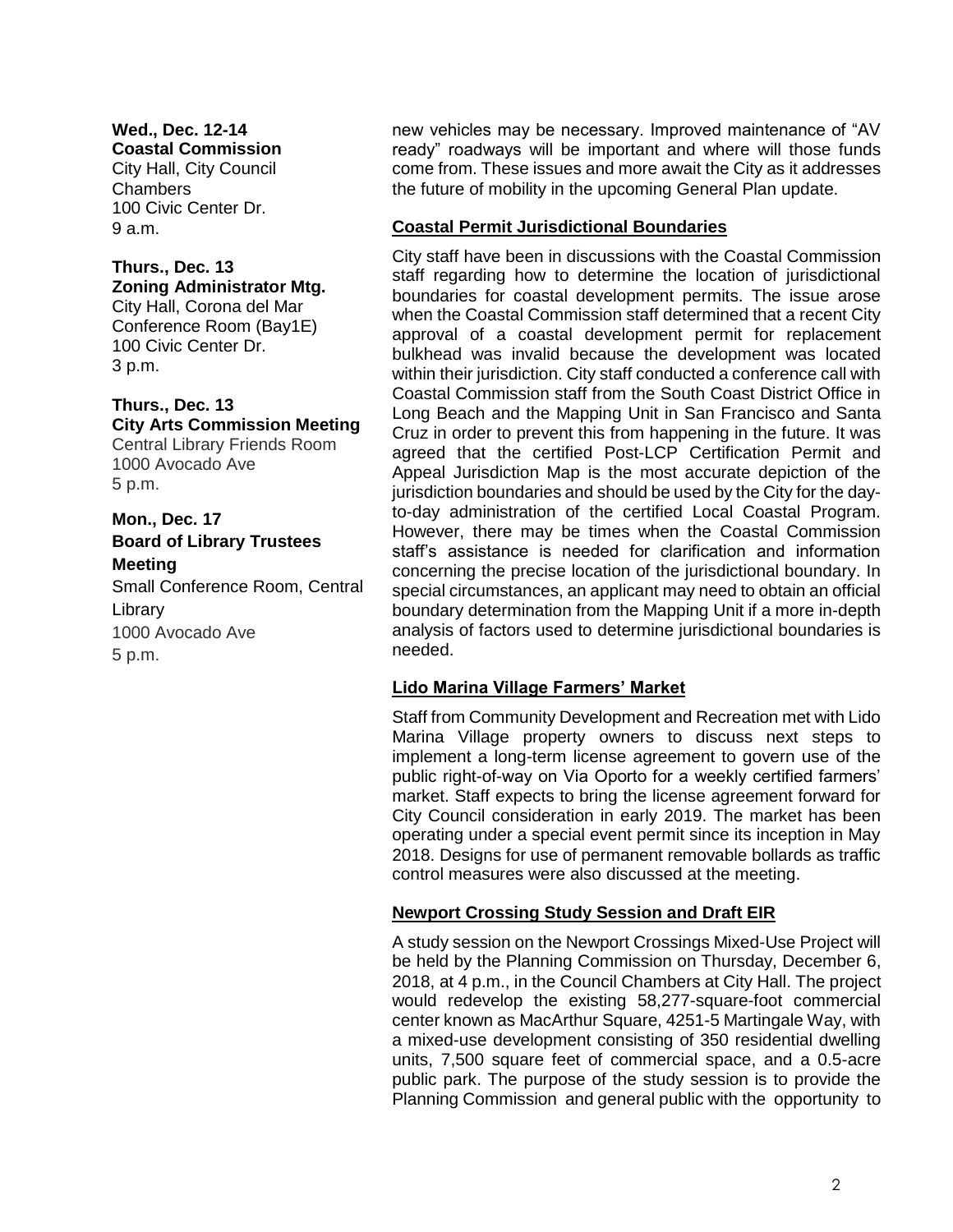**Wed., Dec. 12-14 Coastal Commission** City Hall, City Council Chambers 100 Civic Center Dr. 9 a.m.

#### **Thurs., Dec. 13 Zoning Administrator Mtg.**

City Hall, Corona del Mar Conference Room (Bay1E) 100 Civic Center Dr. 3 p.m.

# **Thurs., Dec. 13 City Arts Commission Meeting**

Central Library Friends Room 1000 Avocado Ave 5 p.m.

# **Mon., Dec. 17 Board of Library Trustees Meeting**

Small Conference Room, Central Library 1000 Avocado Ave 5 p.m.

new vehicles may be necessary. Improved maintenance of "AV ready" roadways will be important and where will those funds come from. These issues and more await the City as it addresses the future of mobility in the upcoming General Plan update.

# **Coastal Permit Jurisdictional Boundaries**

City staff have been in discussions with the Coastal Commission staff regarding how to determine the location of jurisdictional boundaries for coastal development permits. The issue arose when the Coastal Commission staff determined that a recent City approval of a coastal development permit for replacement bulkhead was invalid because the development was located within their jurisdiction. City staff conducted a conference call with Coastal Commission staff from the South Coast District Office in Long Beach and the Mapping Unit in San Francisco and Santa Cruz in order to prevent this from happening in the future. It was agreed that the certified Post-LCP Certification Permit and Appeal Jurisdiction Map is the most accurate depiction of the jurisdiction boundaries and should be used by the City for the dayto-day administration of the certified Local Coastal Program. However, there may be times when the Coastal Commission staff's assistance is needed for clarification and information concerning the precise location of the jurisdictional boundary. In special circumstances, an applicant may need to obtain an official boundary determination from the Mapping Unit if a more in-depth analysis of factors used to determine jurisdictional boundaries is needed.

# **Lido Marina Village Farmers' Market**

Staff from Community Development and Recreation met with Lido Marina Village property owners to discuss next steps to implement a long-term license agreement to govern use of the public right-of-way on Via Oporto for a weekly certified farmers' market. Staff expects to bring the license agreement forward for City Council consideration in early 2019. The market has been operating under a special event permit since its inception in May 2018. Designs for use of permanent removable bollards as traffic control measures were also discussed at the meeting.

#### **Newport Crossing Study Session and Draft EIR**

A study session on the Newport Crossings Mixed-Use Project will be held by the Planning Commission on Thursday, December 6, 2018, at 4 p.m., in the Council Chambers at City Hall. The project would redevelop the existing 58,277-square-foot commercial center known as MacArthur Square, 4251-5 Martingale Way, with a mixed-use development consisting of 350 residential dwelling units, 7,500 square feet of commercial space, and a 0.5-acre public park. The purpose of the study session is to provide the Planning Commission and general public with the opportunity to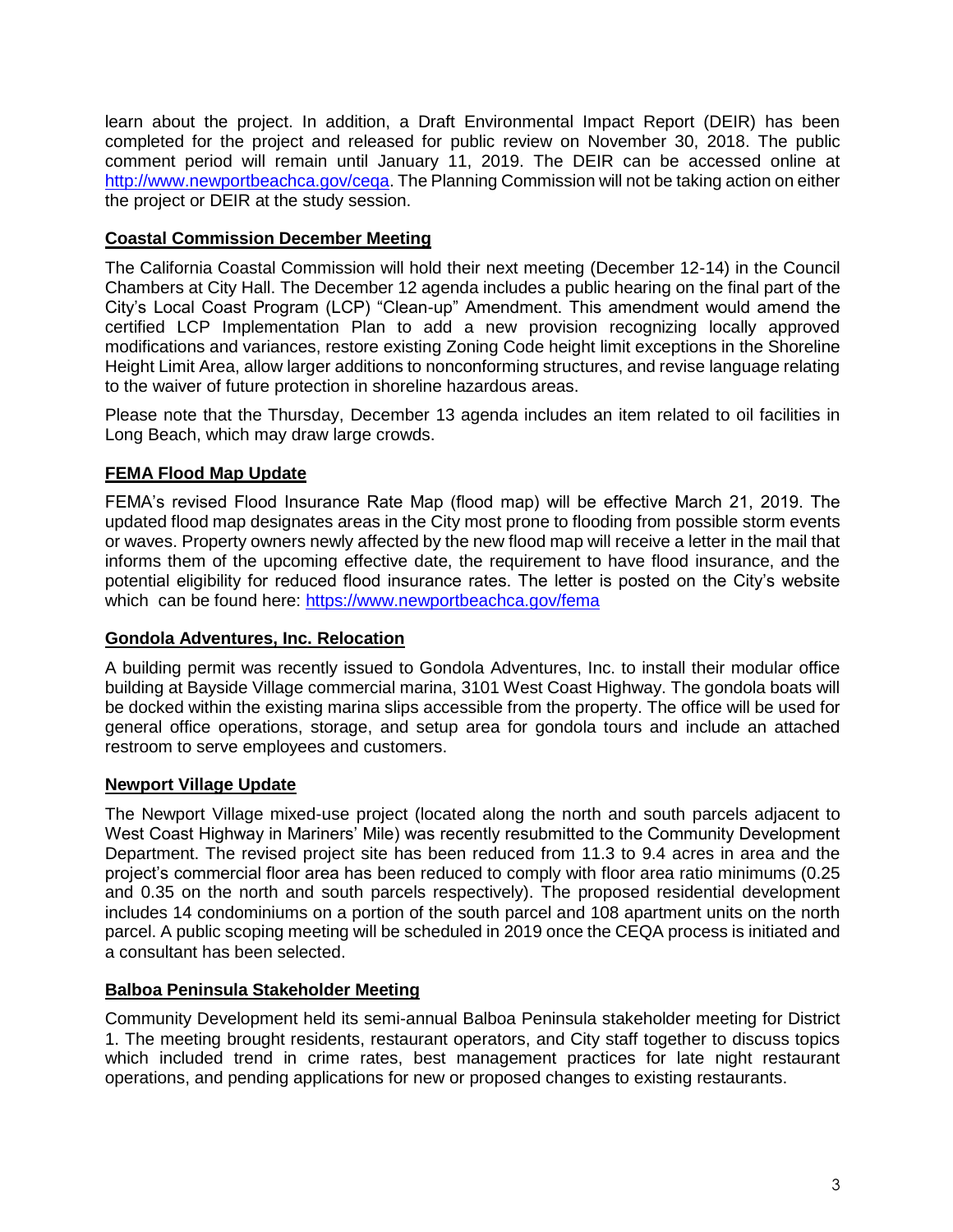learn about the project. In addition, a Draft Environmental Impact Report (DEIR) has been completed for the project and released for public review on November 30, 2018. The public comment period will remain until January 11, 2019. The DEIR can be accessed online at [http://www.newportbeachca.gov/ceqa.](http://www.newportbeachca.gov/ceqa) The Planning Commission will not be taking action on either the project or DEIR at the study session.

# **Coastal Commission December Meeting**

The California Coastal Commission will hold their next meeting (December 12-14) in the Council Chambers at City Hall. The December 12 agenda includes a public hearing on the final part of the City's Local Coast Program (LCP) "Clean-up" Amendment. This amendment would amend the certified LCP Implementation Plan to add a new provision recognizing locally approved modifications and variances, restore existing Zoning Code height limit exceptions in the Shoreline Height Limit Area, allow larger additions to nonconforming structures, and revise language relating to the waiver of future protection in shoreline hazardous areas.

Please note that the Thursday, December 13 agenda includes an item related to oil facilities in Long Beach, which may draw large crowds.

## **FEMA Flood Map Update**

FEMA's revised Flood Insurance Rate Map (flood map) will be effective March 21, 2019. The updated flood map designates areas in the City most prone to flooding from possible storm events or waves. Property owners newly affected by the new flood map will receive a letter in the mail that informs them of the upcoming effective date, the requirement to have flood insurance, and the potential eligibility for reduced flood insurance rates. The letter is posted on the City's website which can be found here:<https://www.newportbeachca.gov/fema>

#### **Gondola Adventures, Inc. Relocation**

A building permit was recently issued to Gondola Adventures, Inc. to install their modular office building at Bayside Village commercial marina, 3101 West Coast Highway. The gondola boats will be docked within the existing marina slips accessible from the property. The office will be used for general office operations, storage, and setup area for gondola tours and include an attached restroom to serve employees and customers.

#### **Newport Village Update**

The Newport Village mixed-use project (located along the north and south parcels adjacent to West Coast Highway in Mariners' Mile) was recently resubmitted to the Community Development Department. The revised project site has been reduced from 11.3 to 9.4 acres in area and the project's commercial floor area has been reduced to comply with floor area ratio minimums (0.25 and 0.35 on the north and south parcels respectively). The proposed residential development includes 14 condominiums on a portion of the south parcel and 108 apartment units on the north parcel. A public scoping meeting will be scheduled in 2019 once the CEQA process is initiated and a consultant has been selected.

#### **Balboa Peninsula Stakeholder Meeting**

Community Development held its semi-annual Balboa Peninsula stakeholder meeting for District 1. The meeting brought residents, restaurant operators, and City staff together to discuss topics which included trend in crime rates, best management practices for late night restaurant operations, and pending applications for new or proposed changes to existing restaurants.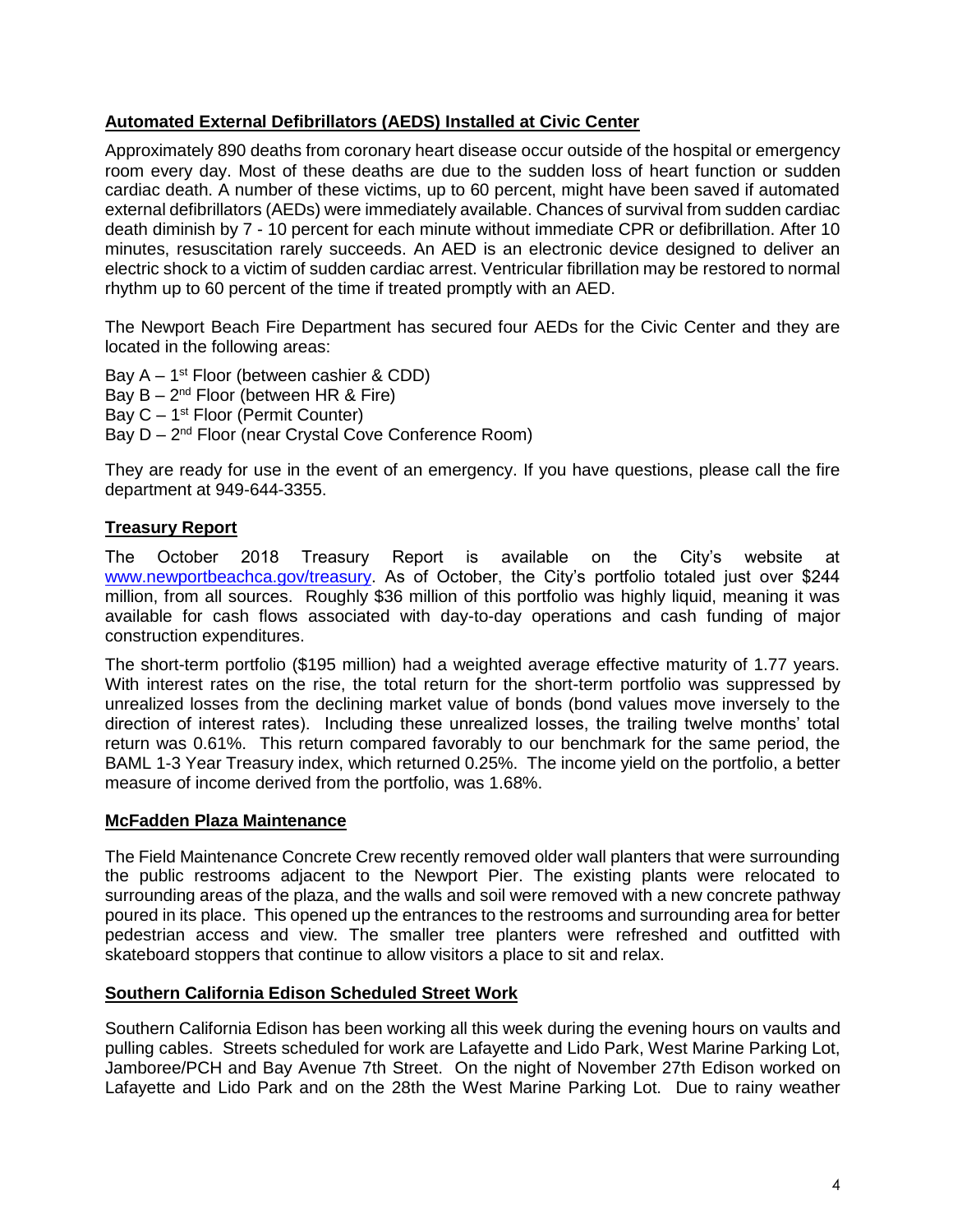# **Automated External Defibrillators (AEDS) Installed at Civic Center**

Approximately 890 deaths from coronary heart disease occur outside of the hospital or emergency room every day. Most of these deaths are due to the sudden loss of heart function or sudden cardiac death. A number of these victims, up to 60 percent, might have been saved if automated external defibrillators (AEDs) were immediately available. Chances of survival from sudden cardiac death diminish by 7 - 10 percent for each minute without immediate CPR or defibrillation. After 10 minutes, resuscitation rarely succeeds. An AED is an electronic device designed to deliver an electric shock to a victim of sudden cardiac arrest. Ventricular fibrillation may be restored to normal rhythm up to 60 percent of the time if treated promptly with an AED.

The Newport Beach Fire Department has secured four AEDs for the Civic Center and they are located in the following areas:

Bay  $A - 1^{st}$  Floor (between cashier & CDD) Bay  $B - 2^{nd}$  Floor (between HR & Fire) Bay  $C - 1$ <sup>st</sup> Floor (Permit Counter) Bay D - 2<sup>nd</sup> Floor (near Crystal Cove Conference Room)

They are ready for use in the event of an emergency. If you have questions, please call the fire department at 949-644-3355.

# **Treasury Report**

The October 2018 Treasury Report is available on the City's website at [www.newportbeachca.gov/treasury.](https://www.newportbeachca.gov/government/departments/finance/financial-reporting-division/financial-information/treasury-reports) As of October, the City's portfolio totaled just over \$244 million, from all sources. Roughly \$36 million of this portfolio was highly liquid, meaning it was available for cash flows associated with day-to-day operations and cash funding of major construction expenditures.

The short-term portfolio (\$195 million) had a weighted average effective maturity of 1.77 years. With interest rates on the rise, the total return for the short-term portfolio was suppressed by unrealized losses from the declining market value of bonds (bond values move inversely to the direction of interest rates). Including these unrealized losses, the trailing twelve months' total return was 0.61%. This return compared favorably to our benchmark for the same period, the BAML 1-3 Year Treasury index, which returned 0.25%. The income yield on the portfolio, a better measure of income derived from the portfolio, was 1.68%.

#### **McFadden Plaza Maintenance**

The Field Maintenance Concrete Crew recently removed older wall planters that were surrounding the public restrooms adjacent to the Newport Pier. The existing plants were relocated to surrounding areas of the plaza, and the walls and soil were removed with a new concrete pathway poured in its place. This opened up the entrances to the restrooms and surrounding area for better pedestrian access and view. The smaller tree planters were refreshed and outfitted with skateboard stoppers that continue to allow visitors a place to sit and relax.

#### **Southern California Edison Scheduled Street Work**

Southern California Edison has been working all this week during the evening hours on vaults and pulling cables. Streets scheduled for work are Lafayette and Lido Park, West Marine Parking Lot, Jamboree/PCH and Bay Avenue 7th Street. On the night of November 27th Edison worked on Lafayette and Lido Park and on the 28th the West Marine Parking Lot. Due to rainy weather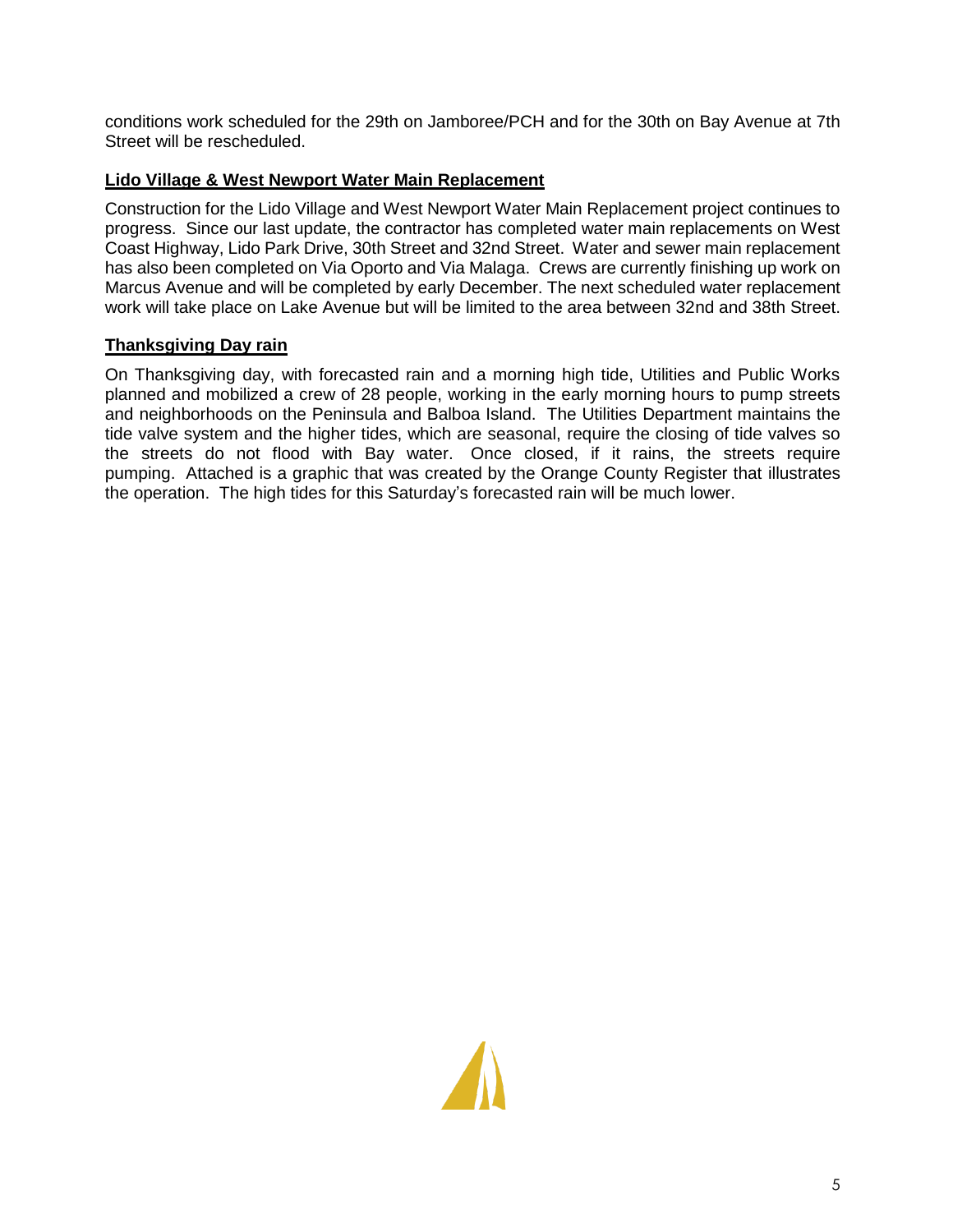conditions work scheduled for the 29th on Jamboree/PCH and for the 30th on Bay Avenue at 7th Street will be rescheduled.

# **Lido Village & West Newport Water Main Replacement**

Construction for the Lido Village and West Newport Water Main Replacement project continues to progress. Since our last update, the contractor has completed water main replacements on West Coast Highway, Lido Park Drive, 30th Street and 32nd Street. Water and sewer main replacement has also been completed on Via Oporto and Via Malaga. Crews are currently finishing up work on Marcus Avenue and will be completed by early December. The next scheduled water replacement work will take place on Lake Avenue but will be limited to the area between 32nd and 38th Street.

# **Thanksgiving Day rain**

On Thanksgiving day, with forecasted rain and a morning high tide, Utilities and Public Works planned and mobilized a crew of 28 people, working in the early morning hours to pump streets and neighborhoods on the Peninsula and Balboa Island. The Utilities Department maintains the tide valve system and the higher tides, which are seasonal, require the closing of tide valves so the streets do not flood with Bay water. Once closed, if it rains, the streets require pumping. Attached is a graphic that was created by the Orange County Register that illustrates the operation. The high tides for this Saturday's forecasted rain will be much lower.